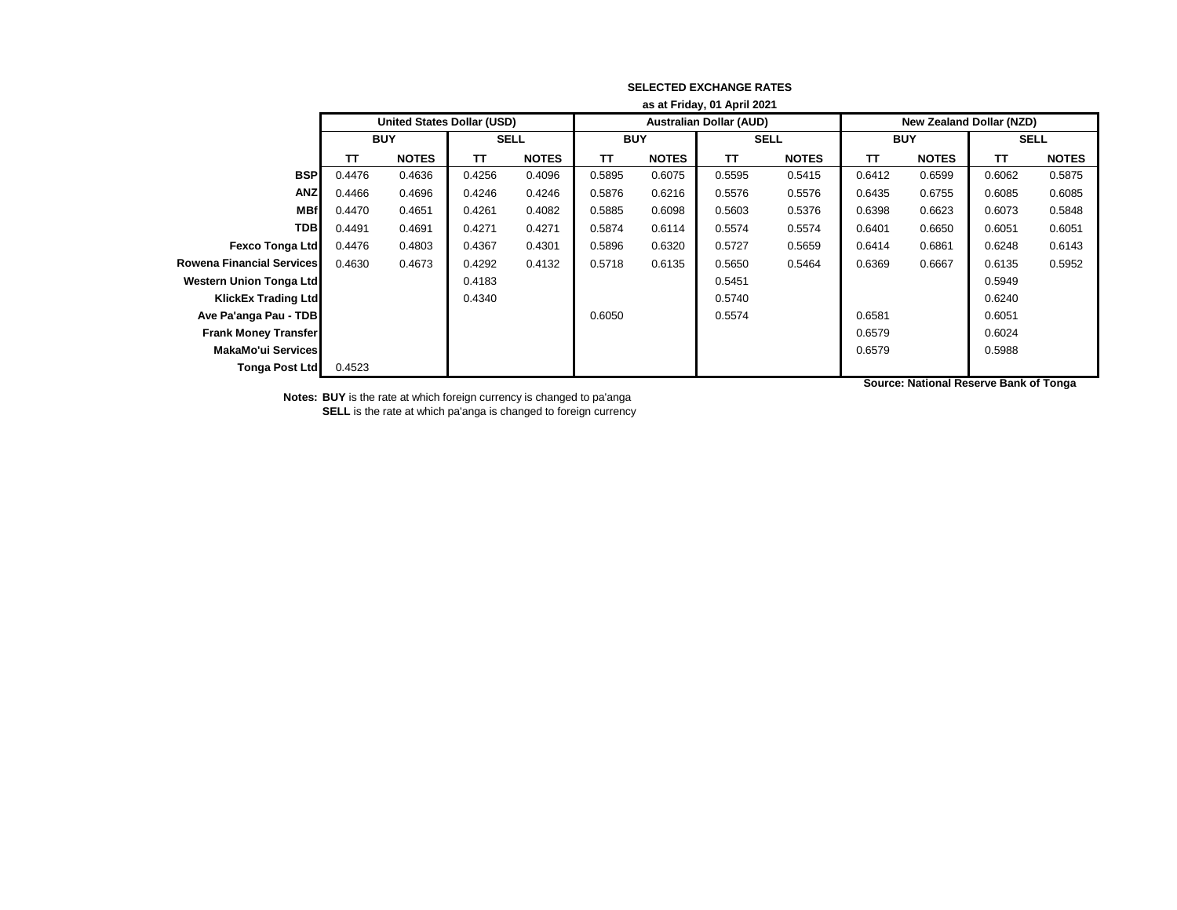| <b>United States Dollar (USD)</b><br><b>Australian Dollar (AUD)</b><br><b>New Zealand Dollar (NZD)</b><br><b>SELL</b><br><b>SELL</b><br><b>BUY</b><br><b>SELL</b><br><b>BUY</b><br><b>BUY</b><br><b>NOTES</b><br><b>NOTES</b><br>TΤ<br><b>NOTES</b><br><b>NOTES</b><br>TΤ<br><b>NOTES</b><br><b>NOTES</b><br>TT.<br><b>TT</b><br>TΤ<br><b>TT</b><br><b>BSP</b><br>0.4636<br>0.4096<br>0.6075<br>0.6599<br>0.4476<br>0.4256<br>0.5895<br>0.5595<br>0.5415<br>0.6412<br>0.6062<br>0.5875<br><b>ANZ</b><br>0.6216<br>0.6755<br>0.4466<br>0.4696<br>0.4246<br>0.4246<br>0.5876<br>0.5576<br>0.5576<br>0.6435<br>0.6085<br>0.6085<br><b>MBf</b><br>0.4082<br>0.6623<br>0.4470<br>0.4651<br>0.4261<br>0.5885<br>0.6098<br>0.5603<br>0.5376<br>0.6398<br>0.6073<br>0.5848<br><b>TDB</b><br>0.4271<br>0.6114<br>0.6650<br>0.4491<br>0.4691<br>0.4271<br>0.5874<br>0.5574<br>0.5574<br>0.6401<br>0.6051<br>0.6051<br><b>Fexco Tonga Ltd</b><br>0.4301<br>0.6320<br>0.6861<br>0.6143<br>0.4476<br>0.4803<br>0.4367<br>0.5896<br>0.5727<br>0.5659<br>0.6414<br>0.6248<br>Rowena Financial Servicesl<br>0.4630<br>0.4673<br>0.4292<br>0.4132<br>0.5718<br>0.6135<br>0.5464<br>0.6369<br>0.6667<br>0.6135<br>0.5952<br>0.5650<br><b>Western Union Tonga Ltd</b><br>0.4183<br>0.5451<br>0.5949<br>0.4340<br><b>KlickEx Trading Ltd</b><br>0.6240<br>0.5740<br>Ave Pa'anga Pau - TDB<br>0.6581<br>0.6050<br>0.5574<br>0.6051<br><b>Frank Money Transfer</b><br>0.6024<br>0.6579<br>MakaMo'ui Services<br>0.5988<br>0.6579<br>Tonga Post Ltd<br>0.4523 | as at Friday, 01 April 2021 |  |  |  |  |  |  |  |  |  |  |  |  |
|----------------------------------------------------------------------------------------------------------------------------------------------------------------------------------------------------------------------------------------------------------------------------------------------------------------------------------------------------------------------------------------------------------------------------------------------------------------------------------------------------------------------------------------------------------------------------------------------------------------------------------------------------------------------------------------------------------------------------------------------------------------------------------------------------------------------------------------------------------------------------------------------------------------------------------------------------------------------------------------------------------------------------------------------------------------------------------------------------------------------------------------------------------------------------------------------------------------------------------------------------------------------------------------------------------------------------------------------------------------------------------------------------------------------------------------------------------------------------------------------------------------------------------------|-----------------------------|--|--|--|--|--|--|--|--|--|--|--|--|
|                                                                                                                                                                                                                                                                                                                                                                                                                                                                                                                                                                                                                                                                                                                                                                                                                                                                                                                                                                                                                                                                                                                                                                                                                                                                                                                                                                                                                                                                                                                                        |                             |  |  |  |  |  |  |  |  |  |  |  |  |
|                                                                                                                                                                                                                                                                                                                                                                                                                                                                                                                                                                                                                                                                                                                                                                                                                                                                                                                                                                                                                                                                                                                                                                                                                                                                                                                                                                                                                                                                                                                                        |                             |  |  |  |  |  |  |  |  |  |  |  |  |
|                                                                                                                                                                                                                                                                                                                                                                                                                                                                                                                                                                                                                                                                                                                                                                                                                                                                                                                                                                                                                                                                                                                                                                                                                                                                                                                                                                                                                                                                                                                                        |                             |  |  |  |  |  |  |  |  |  |  |  |  |
|                                                                                                                                                                                                                                                                                                                                                                                                                                                                                                                                                                                                                                                                                                                                                                                                                                                                                                                                                                                                                                                                                                                                                                                                                                                                                                                                                                                                                                                                                                                                        |                             |  |  |  |  |  |  |  |  |  |  |  |  |
|                                                                                                                                                                                                                                                                                                                                                                                                                                                                                                                                                                                                                                                                                                                                                                                                                                                                                                                                                                                                                                                                                                                                                                                                                                                                                                                                                                                                                                                                                                                                        |                             |  |  |  |  |  |  |  |  |  |  |  |  |
|                                                                                                                                                                                                                                                                                                                                                                                                                                                                                                                                                                                                                                                                                                                                                                                                                                                                                                                                                                                                                                                                                                                                                                                                                                                                                                                                                                                                                                                                                                                                        |                             |  |  |  |  |  |  |  |  |  |  |  |  |
|                                                                                                                                                                                                                                                                                                                                                                                                                                                                                                                                                                                                                                                                                                                                                                                                                                                                                                                                                                                                                                                                                                                                                                                                                                                                                                                                                                                                                                                                                                                                        |                             |  |  |  |  |  |  |  |  |  |  |  |  |
|                                                                                                                                                                                                                                                                                                                                                                                                                                                                                                                                                                                                                                                                                                                                                                                                                                                                                                                                                                                                                                                                                                                                                                                                                                                                                                                                                                                                                                                                                                                                        |                             |  |  |  |  |  |  |  |  |  |  |  |  |
|                                                                                                                                                                                                                                                                                                                                                                                                                                                                                                                                                                                                                                                                                                                                                                                                                                                                                                                                                                                                                                                                                                                                                                                                                                                                                                                                                                                                                                                                                                                                        |                             |  |  |  |  |  |  |  |  |  |  |  |  |
|                                                                                                                                                                                                                                                                                                                                                                                                                                                                                                                                                                                                                                                                                                                                                                                                                                                                                                                                                                                                                                                                                                                                                                                                                                                                                                                                                                                                                                                                                                                                        |                             |  |  |  |  |  |  |  |  |  |  |  |  |
|                                                                                                                                                                                                                                                                                                                                                                                                                                                                                                                                                                                                                                                                                                                                                                                                                                                                                                                                                                                                                                                                                                                                                                                                                                                                                                                                                                                                                                                                                                                                        |                             |  |  |  |  |  |  |  |  |  |  |  |  |
|                                                                                                                                                                                                                                                                                                                                                                                                                                                                                                                                                                                                                                                                                                                                                                                                                                                                                                                                                                                                                                                                                                                                                                                                                                                                                                                                                                                                                                                                                                                                        |                             |  |  |  |  |  |  |  |  |  |  |  |  |
|                                                                                                                                                                                                                                                                                                                                                                                                                                                                                                                                                                                                                                                                                                                                                                                                                                                                                                                                                                                                                                                                                                                                                                                                                                                                                                                                                                                                                                                                                                                                        |                             |  |  |  |  |  |  |  |  |  |  |  |  |
|                                                                                                                                                                                                                                                                                                                                                                                                                                                                                                                                                                                                                                                                                                                                                                                                                                                                                                                                                                                                                                                                                                                                                                                                                                                                                                                                                                                                                                                                                                                                        |                             |  |  |  |  |  |  |  |  |  |  |  |  |
|                                                                                                                                                                                                                                                                                                                                                                                                                                                                                                                                                                                                                                                                                                                                                                                                                                                                                                                                                                                                                                                                                                                                                                                                                                                                                                                                                                                                                                                                                                                                        |                             |  |  |  |  |  |  |  |  |  |  |  |  |

**Source: National Reserve Bank of Tonga**

**Notes: BUY** is the rate at which foreign currency is changed to pa'anga **SELL** is the rate at which pa'anga is changed to foreign currency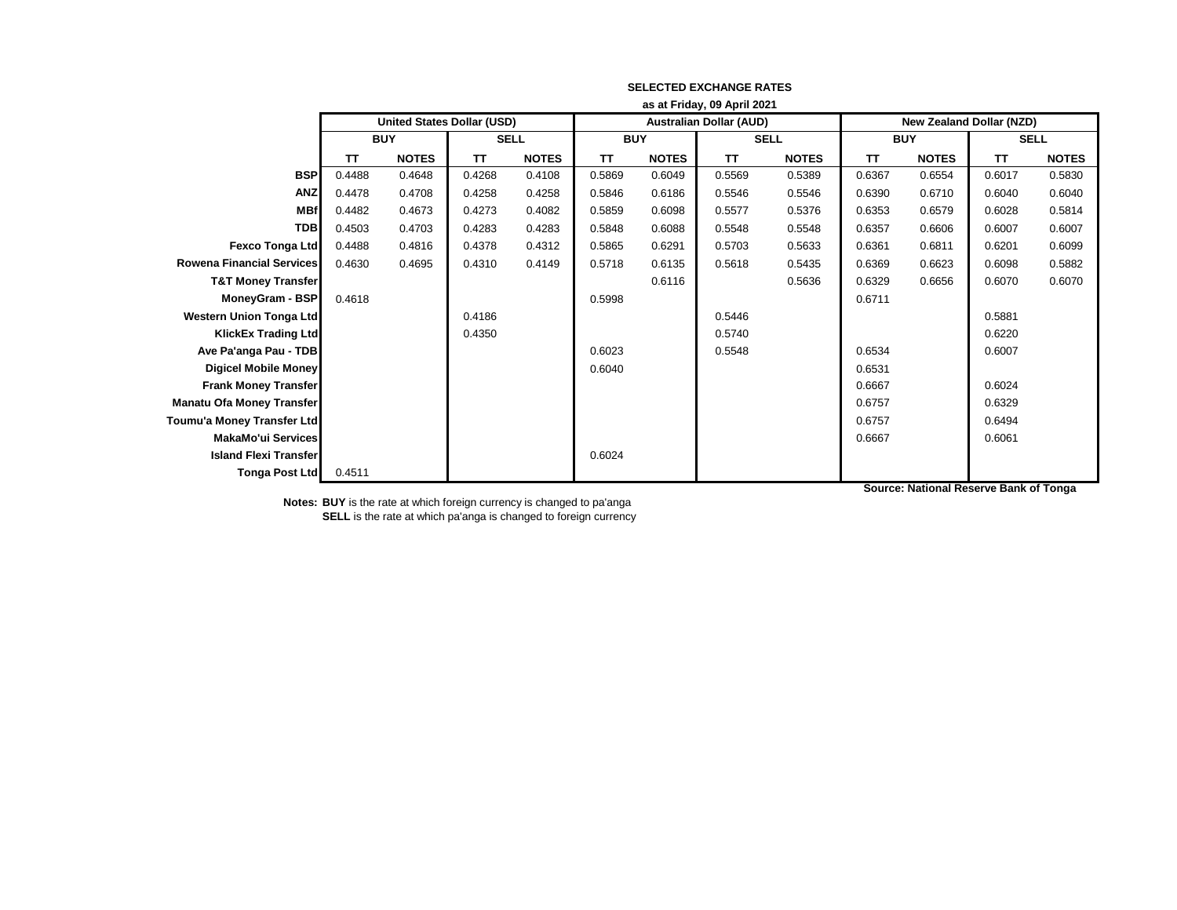|                                  | as at Friday, 09 April 2021 |                                   |             |              |            |              |                                |              |                                 |              |             |              |
|----------------------------------|-----------------------------|-----------------------------------|-------------|--------------|------------|--------------|--------------------------------|--------------|---------------------------------|--------------|-------------|--------------|
|                                  |                             | <b>United States Dollar (USD)</b> |             |              |            |              | <b>Australian Dollar (AUD)</b> |              | <b>New Zealand Dollar (NZD)</b> |              |             |              |
|                                  |                             | <b>BUY</b>                        | <b>SELL</b> |              | <b>BUY</b> |              | <b>SELL</b>                    |              | <b>BUY</b>                      |              | <b>SELL</b> |              |
|                                  | TΤ                          | <b>NOTES</b>                      | TΤ          | <b>NOTES</b> | <b>TT</b>  | <b>NOTES</b> | <b>TT</b>                      | <b>NOTES</b> | TΤ                              | <b>NOTES</b> | TΤ          | <b>NOTES</b> |
| <b>BSP</b>                       | 0.4488                      | 0.4648                            | 0.4268      | 0.4108       | 0.5869     | 0.6049       | 0.5569                         | 0.5389       | 0.6367                          | 0.6554       | 0.6017      | 0.5830       |
| <b>ANZ</b>                       | 0.4478                      | 0.4708                            | 0.4258      | 0.4258       | 0.5846     | 0.6186       | 0.5546                         | 0.5546       | 0.6390                          | 0.6710       | 0.6040      | 0.6040       |
| <b>MBf</b>                       | 0.4482                      | 0.4673                            | 0.4273      | 0.4082       | 0.5859     | 0.6098       | 0.5577                         | 0.5376       | 0.6353                          | 0.6579       | 0.6028      | 0.5814       |
| <b>TDB</b>                       | 0.4503                      | 0.4703                            | 0.4283      | 0.4283       | 0.5848     | 0.6088       | 0.5548                         | 0.5548       | 0.6357                          | 0.6606       | 0.6007      | 0.6007       |
| <b>Fexco Tonga Ltd</b>           | 0.4488                      | 0.4816                            | 0.4378      | 0.4312       | 0.5865     | 0.6291       | 0.5703                         | 0.5633       | 0.6361                          | 0.6811       | 0.6201      | 0.6099       |
| <b>Rowena Financial Services</b> | 0.4630                      | 0.4695                            | 0.4310      | 0.4149       | 0.5718     | 0.6135       | 0.5618                         | 0.5435       | 0.6369                          | 0.6623       | 0.6098      | 0.5882       |
| <b>T&amp;T Money Transfer</b>    |                             |                                   |             |              |            | 0.6116       |                                | 0.5636       | 0.6329                          | 0.6656       | 0.6070      | 0.6070       |
| MoneyGram - BSP                  | 0.4618                      |                                   |             |              | 0.5998     |              |                                |              | 0.6711                          |              |             |              |
| <b>Western Union Tonga Ltd</b>   |                             |                                   | 0.4186      |              |            |              | 0.5446                         |              |                                 |              | 0.5881      |              |
| <b>KlickEx Trading Ltd</b>       |                             |                                   | 0.4350      |              |            |              | 0.5740                         |              |                                 |              | 0.6220      |              |
| Ave Pa'anga Pau - TDB            |                             |                                   |             |              | 0.6023     |              | 0.5548                         |              | 0.6534                          |              | 0.6007      |              |
| <b>Digicel Mobile Money</b>      |                             |                                   |             |              | 0.6040     |              |                                |              | 0.6531                          |              |             |              |
| <b>Frank Money Transfer</b>      |                             |                                   |             |              |            |              |                                |              | 0.6667                          |              | 0.6024      |              |
| <b>Manatu Ofa Money Transfer</b> |                             |                                   |             |              |            |              |                                |              | 0.6757                          |              | 0.6329      |              |
| Toumu'a Money Transfer Ltd       |                             |                                   |             |              |            |              |                                |              | 0.6757                          |              | 0.6494      |              |
| <b>MakaMo'ui Services</b>        |                             |                                   |             |              |            |              |                                |              | 0.6667                          |              | 0.6061      |              |
| <b>Island Flexi Transfer</b>     |                             |                                   |             |              | 0.6024     |              |                                |              |                                 |              |             |              |
| <b>Tonga Post Ltd</b>            | 0.4511                      |                                   |             |              |            |              |                                |              |                                 |              |             |              |

**Notes: BUY** is the rate at which foreign currency is changed to pa'anga **SELL** is the rate at which pa'anga is changed to foreign currency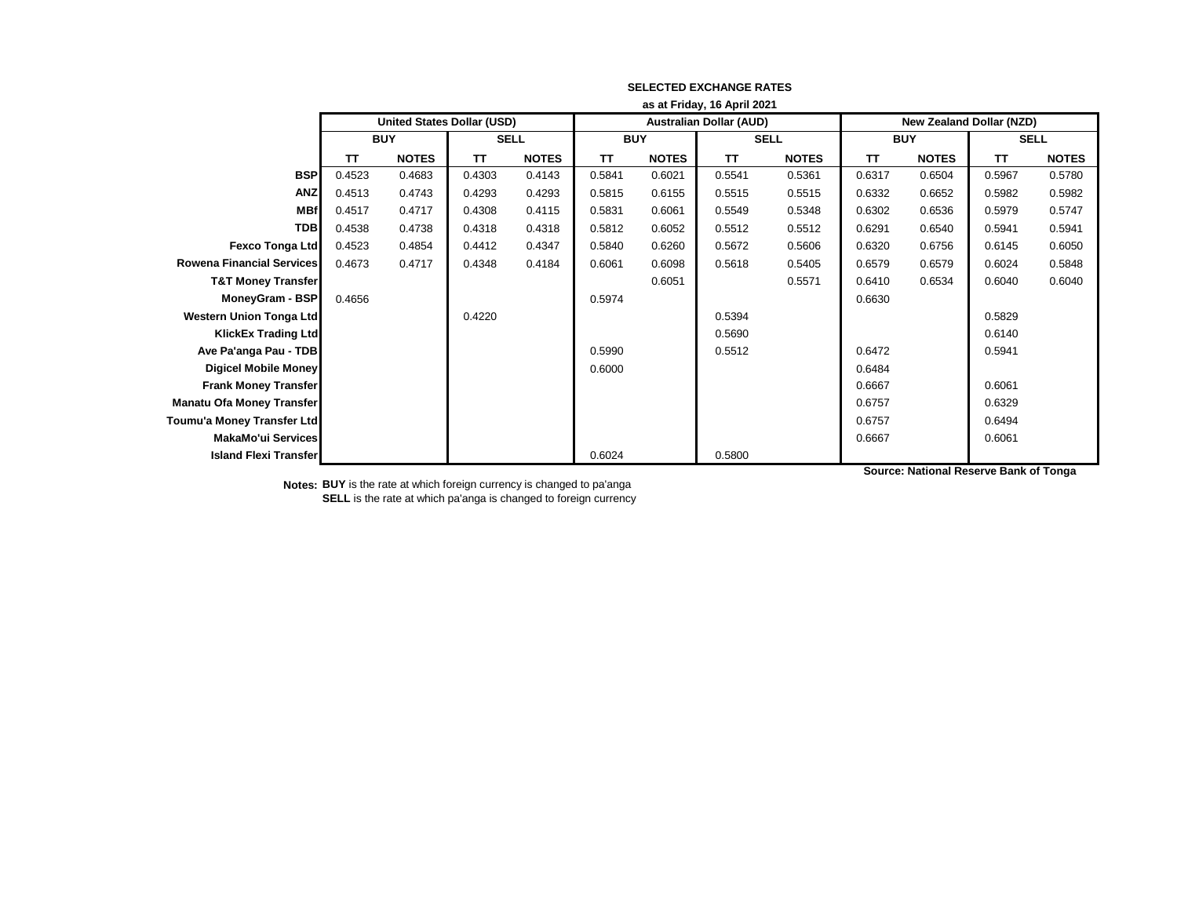|                                  | as at Friday, 16 April 2021 |                                   |             |              |            |              |                                |              |                                 |              |             |              |
|----------------------------------|-----------------------------|-----------------------------------|-------------|--------------|------------|--------------|--------------------------------|--------------|---------------------------------|--------------|-------------|--------------|
|                                  |                             | <b>United States Dollar (USD)</b> |             |              |            |              | <b>Australian Dollar (AUD)</b> |              | <b>New Zealand Dollar (NZD)</b> |              |             |              |
|                                  |                             | <b>BUY</b>                        | <b>SELL</b> |              | <b>BUY</b> |              | <b>SELL</b>                    |              | <b>BUY</b>                      |              | <b>SELL</b> |              |
|                                  | <b>TT</b>                   | <b>NOTES</b>                      | TΤ          | <b>NOTES</b> | TΤ         | <b>NOTES</b> | <b>TT</b>                      | <b>NOTES</b> | TΤ                              | <b>NOTES</b> | <b>TT</b>   | <b>NOTES</b> |
| <b>BSP</b>                       | 0.4523                      | 0.4683                            | 0.4303      | 0.4143       | 0.5841     | 0.6021       | 0.5541                         | 0.5361       | 0.6317                          | 0.6504       | 0.5967      | 0.5780       |
| <b>ANZ</b>                       | 0.4513                      | 0.4743                            | 0.4293      | 0.4293       | 0.5815     | 0.6155       | 0.5515                         | 0.5515       | 0.6332                          | 0.6652       | 0.5982      | 0.5982       |
| <b>MBf</b>                       | 0.4517                      | 0.4717                            | 0.4308      | 0.4115       | 0.5831     | 0.6061       | 0.5549                         | 0.5348       | 0.6302                          | 0.6536       | 0.5979      | 0.5747       |
| <b>TDB</b>                       | 0.4538                      | 0.4738                            | 0.4318      | 0.4318       | 0.5812     | 0.6052       | 0.5512                         | 0.5512       | 0.6291                          | 0.6540       | 0.5941      | 0.5941       |
| <b>Fexco Tonga Ltd</b>           | 0.4523                      | 0.4854                            | 0.4412      | 0.4347       | 0.5840     | 0.6260       | 0.5672                         | 0.5606       | 0.6320                          | 0.6756       | 0.6145      | 0.6050       |
| <b>Rowena Financial Services</b> | 0.4673                      | 0.4717                            | 0.4348      | 0.4184       | 0.6061     | 0.6098       | 0.5618                         | 0.5405       | 0.6579                          | 0.6579       | 0.6024      | 0.5848       |
| <b>T&amp;T Money Transfer</b>    |                             |                                   |             |              |            | 0.6051       |                                | 0.5571       | 0.6410                          | 0.6534       | 0.6040      | 0.6040       |
| <b>MoneyGram - BSP</b>           | 0.4656                      |                                   |             |              | 0.5974     |              |                                |              | 0.6630                          |              |             |              |
| <b>Western Union Tonga Ltd</b>   |                             |                                   | 0.4220      |              |            |              | 0.5394                         |              |                                 |              | 0.5829      |              |
| <b>KlickEx Trading Ltd</b>       |                             |                                   |             |              |            |              | 0.5690                         |              |                                 |              | 0.6140      |              |
| Ave Pa'anga Pau - TDB            |                             |                                   |             |              | 0.5990     |              | 0.5512                         |              | 0.6472                          |              | 0.5941      |              |
| <b>Digicel Mobile Money</b>      |                             |                                   |             |              | 0.6000     |              |                                |              | 0.6484                          |              |             |              |
| <b>Frank Money Transfer</b>      |                             |                                   |             |              |            |              |                                |              | 0.6667                          |              | 0.6061      |              |
| <b>Manatu Ofa Money Transfer</b> |                             |                                   |             |              |            |              |                                |              | 0.6757                          |              | 0.6329      |              |
| Toumu'a Money Transfer Ltd       |                             |                                   |             |              |            |              |                                |              | 0.6757                          |              | 0.6494      |              |
| <b>MakaMo'ui Services</b>        |                             |                                   |             |              |            |              |                                |              | 0.6667                          |              | 0.6061      |              |
| <b>Island Flexi Transfer</b>     |                             |                                   |             |              | 0.6024     |              | 0.5800                         |              |                                 |              |             |              |

**Notes: BUY** is the rate at which foreign currency is changed to pa'anga **SELL** is the rate at which pa'anga is changed to foreign currency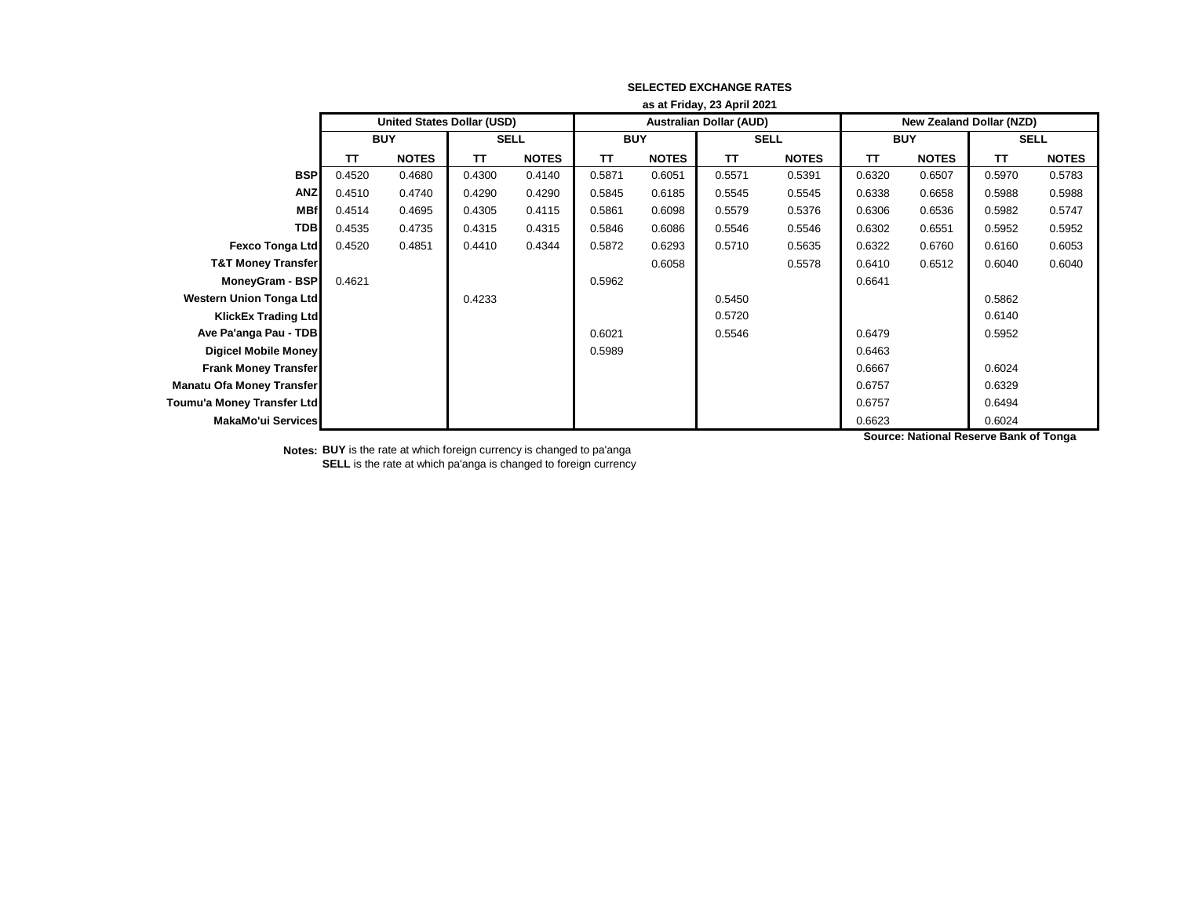|                                  | as at Friday, 23 April 2021 |                                   |             |              |            |              |                                |              |                                 |              |             |              |
|----------------------------------|-----------------------------|-----------------------------------|-------------|--------------|------------|--------------|--------------------------------|--------------|---------------------------------|--------------|-------------|--------------|
|                                  |                             | <b>United States Dollar (USD)</b> |             |              |            |              | <b>Australian Dollar (AUD)</b> |              | <b>New Zealand Dollar (NZD)</b> |              |             |              |
|                                  |                             | <b>BUY</b>                        | <b>SELL</b> |              | <b>BUY</b> |              | <b>SELL</b>                    |              | <b>BUY</b>                      |              | <b>SELL</b> |              |
|                                  | <b>TT</b>                   | <b>NOTES</b>                      | <b>TT</b>   | <b>NOTES</b> | <b>TT</b>  | <b>NOTES</b> | <b>TT</b>                      | <b>NOTES</b> | <b>TT</b>                       | <b>NOTES</b> | <b>TT</b>   | <b>NOTES</b> |
| <b>BSP</b>                       | 0.4520                      | 0.4680                            | 0.4300      | 0.4140       | 0.5871     | 0.6051       | 0.5571                         | 0.5391       | 0.6320                          | 0.6507       | 0.5970      | 0.5783       |
| <b>ANZ</b>                       | 0.4510                      | 0.4740                            | 0.4290      | 0.4290       | 0.5845     | 0.6185       | 0.5545                         | 0.5545       | 0.6338                          | 0.6658       | 0.5988      | 0.5988       |
| <b>MBf</b>                       | 0.4514                      | 0.4695                            | 0.4305      | 0.4115       | 0.5861     | 0.6098       | 0.5579                         | 0.5376       | 0.6306                          | 0.6536       | 0.5982      | 0.5747       |
| <b>TDB</b>                       | 0.4535                      | 0.4735                            | 0.4315      | 0.4315       | 0.5846     | 0.6086       | 0.5546                         | 0.5546       | 0.6302                          | 0.6551       | 0.5952      | 0.5952       |
| <b>Fexco Tonga Ltd</b>           | 0.4520                      | 0.4851                            | 0.4410      | 0.4344       | 0.5872     | 0.6293       | 0.5710                         | 0.5635       | 0.6322                          | 0.6760       | 0.6160      | 0.6053       |
| <b>T&amp;T Money Transfer</b>    |                             |                                   |             |              |            | 0.6058       |                                | 0.5578       | 0.6410                          | 0.6512       | 0.6040      | 0.6040       |
| MoneyGram - BSP                  | 0.4621                      |                                   |             |              | 0.5962     |              |                                |              | 0.6641                          |              |             |              |
| Western Union Tonga Ltd          |                             |                                   | 0.4233      |              |            |              | 0.5450                         |              |                                 |              | 0.5862      |              |
| <b>KlickEx Trading Ltd</b>       |                             |                                   |             |              |            |              | 0.5720                         |              |                                 |              | 0.6140      |              |
| Ave Pa'anga Pau - TDB            |                             |                                   |             |              | 0.6021     |              | 0.5546                         |              | 0.6479                          |              | 0.5952      |              |
| <b>Digicel Mobile Money</b>      |                             |                                   |             |              | 0.5989     |              |                                |              | 0.6463                          |              |             |              |
| <b>Frank Money Transfer</b>      |                             |                                   |             |              |            |              |                                |              | 0.6667                          |              | 0.6024      |              |
| <b>Manatu Ofa Money Transfer</b> |                             |                                   |             |              |            |              |                                |              | 0.6757                          |              | 0.6329      |              |
| Toumu'a Money Transfer Ltd       |                             |                                   |             |              |            |              |                                |              | 0.6757                          |              | 0.6494      |              |
| MakaMo'ui Services               |                             |                                   |             |              |            |              |                                |              | 0.6623                          |              | 0.6024      |              |

**Notes: BUY** is the rate at which foreign currency is changed to pa'anga **SELL** is the rate at which pa'anga is changed to foreign currency